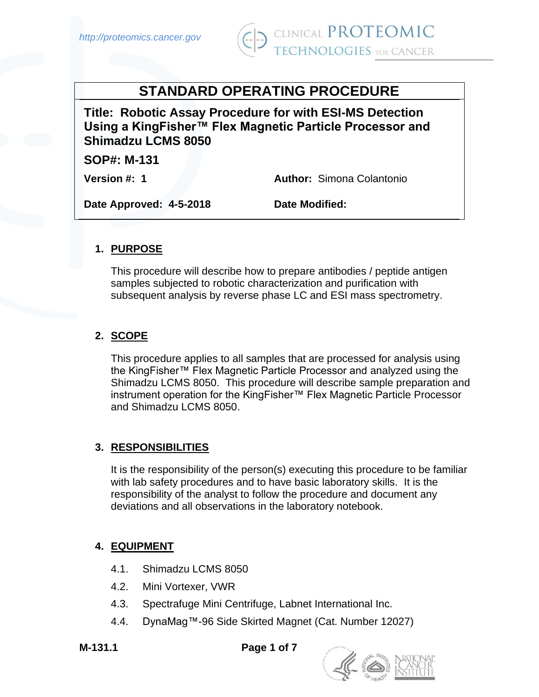

# **STANDARD OPERATING PROCEDURE**

**Title: Robotic Assay Procedure for with ESI-MS Detection Using a KingFisher™ Flex Magnetic Particle Processor and Shimadzu LCMS 8050**

**SOP#: M-131** 

**Version #: 1 Author:** Simona Colantonio

**Date Approved: 4-5-2018 Date Modified:** 

### **1. PURPOSE**

This procedure will describe how to prepare antibodies / peptide antigen samples subjected to robotic characterization and purification with subsequent analysis by reverse phase LC and ESI mass spectrometry.

### **2. SCOPE**

This procedure applies to all samples that are processed for analysis using the KingFisher™ Flex Magnetic Particle Processor and analyzed using the Shimadzu LCMS 8050. This procedure will describe sample preparation and instrument operation for the KingFisher™ Flex Magnetic Particle Processor and Shimadzu LCMS 8050.

### **3. RESPONSIBILITIES**

It is the responsibility of the person(s) executing this procedure to be familiar with lab safety procedures and to have basic laboratory skills. It is the responsibility of the analyst to follow the procedure and document any deviations and all observations in the laboratory notebook.

#### **4. EQUIPMENT**

- 4.1. Shimadzu LCMS 8050
- 4.2. Mini Vortexer, VWR
- 4.3. Spectrafuge Mini Centrifuge, Labnet International Inc.
- 4.4. DynaMag™-96 Side Skirted Magnet (Cat. Number 12027)

**M-131.1 Page 1 of 7**

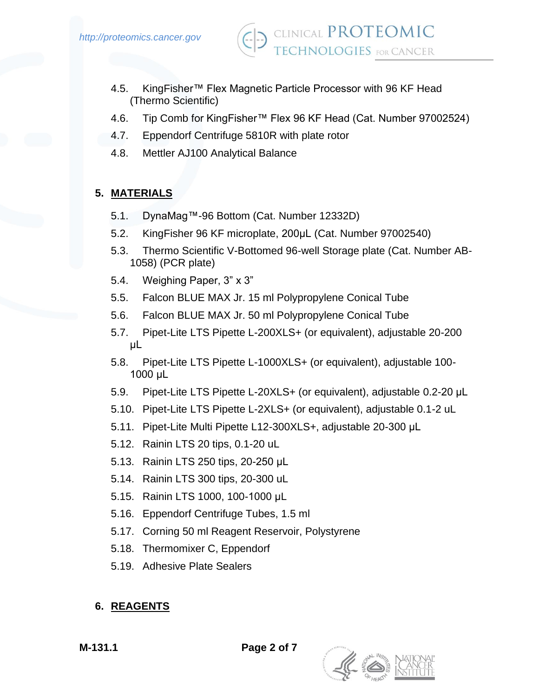

- 4.5. KingFisher™ Flex Magnetic Particle Processor with 96 KF Head (Thermo Scientific)
- 4.6. Tip Comb for KingFisher™ Flex 96 KF Head (Cat. Number 97002524)
- 4.7. Eppendorf Centrifuge 5810R with plate rotor
- 4.8. Mettler AJ100 Analytical Balance

### **5. MATERIALS**

- 5.1. DynaMag™-96 Bottom (Cat. Number 12332D)
- 5.2. KingFisher 96 KF microplate, 200μL (Cat. Number 97002540)
- 5.3. Thermo Scientific V-Bottomed 96-well Storage plate (Cat. Number AB-1058) (PCR plate)
- 5.4. Weighing Paper, 3" x 3"
- 5.5. Falcon BLUE MAX Jr. 15 ml Polypropylene Conical Tube
- 5.6. Falcon BLUE MAX Jr. 50 ml Polypropylene Conical Tube
- 5.7. Pipet-Lite LTS Pipette L-200XLS+ (or equivalent), adjustable 20-200 μL
- 5.8. Pipet-Lite LTS Pipette L-1000XLS+ (or equivalent), adjustable 100- 1000 μL
- 5.9. Pipet-Lite LTS Pipette L-20XLS+ (or equivalent), adjustable 0.2-20 μL
- 5.10. Pipet-Lite LTS Pipette L-2XLS+ (or equivalent), adjustable 0.1-2 uL
- 5.11. Pipet-Lite Multi Pipette L12-300XLS+, adjustable 20-300 μL
- 5.12. Rainin LTS 20 tips, 0.1-20 uL
- 5.13. Rainin LTS 250 tips, 20-250 μL
- 5.14. Rainin LTS 300 tips, 20-300 uL
- 5.15. Rainin LTS 1000, 100-1000 μL
- 5.16. Eppendorf Centrifuge Tubes, 1.5 ml
- 5.17. Corning 50 ml Reagent Reservoir, Polystyrene
- 5.18. Thermomixer C, Eppendorf
- 5.19. Adhesive Plate Sealers

# **6. REAGENTS**

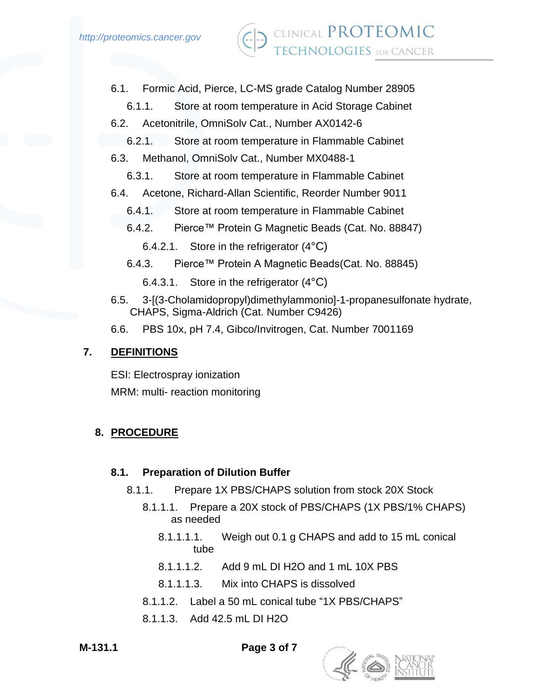- 6.1. Formic Acid, Pierce, LC-MS grade Catalog Number 28905
	- 6.1.1. Store at room temperature in Acid Storage Cabinet
- 6.2. Acetonitrile, OmniSolv Cat., Number AX0142-6
	- 6.2.1. Store at room temperature in Flammable Cabinet
- 6.3. Methanol, OmniSolv Cat., Number MX0488-1
	- 6.3.1. Store at room temperature in Flammable Cabinet
- 6.4. Acetone, Richard-Allan Scientific, Reorder Number 9011
	- 6.4.1. Store at room temperature in Flammable Cabinet
	- 6.4.2. Pierce™ Protein G Magnetic Beads (Cat. No. 88847)
		- 6.4.2.1. Store in the refrigerator (4°C)
	- 6.4.3. Pierce™ Protein A Magnetic Beads(Cat. No. 88845)
		- 6.4.3.1. Store in the refrigerator (4°C)
- 6.5. 3-[(3-Cholamidopropyl)dimethylammonio]-1-propanesulfonate hydrate, CHAPS, Sigma-Aldrich (Cat. Number C9426)
- 6.6. PBS 10x, pH 7.4, Gibco/Invitrogen, Cat. Number 7001169

### **7. DEFINITIONS**

ESI: Electrospray ionization MRM: multi- reaction monitoring

# **8. PROCEDURE**

#### **8.1. Preparation of Dilution Buffer**

- 8.1.1. Prepare 1X PBS/CHAPS solution from stock 20X Stock
	- 8.1.1.1. Prepare a 20X stock of PBS/CHAPS (1X PBS/1% CHAPS) as needed
		- 8.1.1.1.1. Weigh out 0.1 g CHAPS and add to 15 mL conical tube
		- 8.1.1.1.2. Add 9 mL DI H2O and 1 mL 10X PBS
		- 8.1.1.1.3. Mix into CHAPS is dissolved
	- 8.1.1.2. Label a 50 mL conical tube "1X PBS/CHAPS"
	- 8.1.1.3. Add 42.5 mL DI H2O

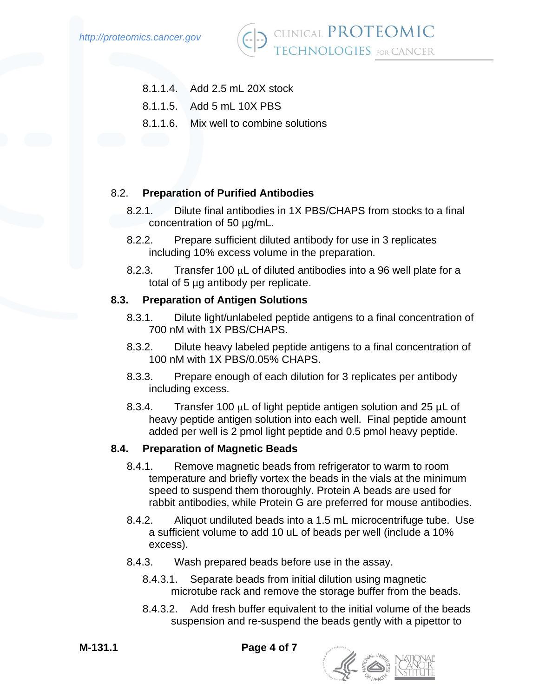

- CLINICAL PROTEOMIC L'HNOLOGIES for CANCER
- 8.1.1.4. Add 2.5 mL 20X stock
- 8.1.1.5. Add 5 mL 10X PBS
- 8.1.1.6. Mix well to combine solutions

#### 8.2. **Preparation of Purified Antibodies**

- 8.2.1. Dilute final antibodies in 1X PBS/CHAPS from stocks to a final concentration of 50 µg/mL.
- 8.2.2. Prepare sufficient diluted antibody for use in 3 replicates including 10% excess volume in the preparation.
- 8.2.3. Transfer 100  $\mu$ L of diluted antibodies into a 96 well plate for a total of 5 µg antibody per replicate.

#### **8.3. Preparation of Antigen Solutions**

- 8.3.1. Dilute light/unlabeled peptide antigens to a final concentration of 700 nM with 1X PBS/CHAPS.
- 8.3.2. Dilute heavy labeled peptide antigens to a final concentration of 100 nM with 1X PBS/0.05% CHAPS.
- 8.3.3. Prepare enough of each dilution for 3 replicates per antibody including excess.
- 8.3.4. Transfer 100  $\mu$ L of light peptide antigen solution and 25  $\mu$ L of heavy peptide antigen solution into each well. Final peptide amount added per well is 2 pmol light peptide and 0.5 pmol heavy peptide.

#### **8.4. Preparation of Magnetic Beads**

- 8.4.1. Remove magnetic beads from refrigerator to warm to room temperature and briefly vortex the beads in the vials at the minimum speed to suspend them thoroughly. Protein A beads are used for rabbit antibodies, while Protein G are preferred for mouse antibodies.
- 8.4.2. Aliquot undiluted beads into a 1.5 mL microcentrifuge tube. Use a sufficient volume to add 10 uL of beads per well (include a 10% excess).
- 8.4.3. Wash prepared beads before use in the assay.
	- 8.4.3.1. Separate beads from initial dilution using magnetic microtube rack and remove the storage buffer from the beads.
	- 8.4.3.2. Add fresh buffer equivalent to the initial volume of the beads suspension and re-suspend the beads gently with a pipettor to

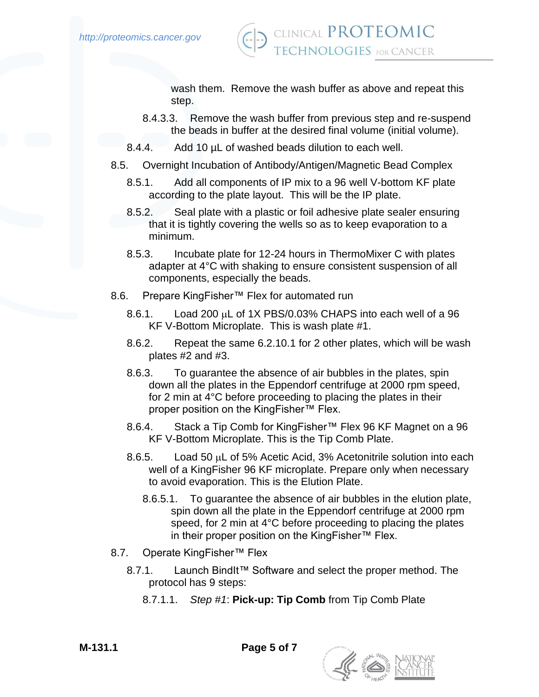

wash them. Remove the wash buffer as above and repeat this step.

- 8.4.3.3. Remove the wash buffer from previous step and re-suspend the beads in buffer at the desired final volume (initial volume).
- 8.4.4. Add 10 µL of washed beads dilution to each well.
- 8.5. Overnight Incubation of Antibody/Antigen/Magnetic Bead Complex
	- 8.5.1. Add all components of IP mix to a 96 well V-bottom KF plate according to the plate layout. This will be the IP plate.
	- 8.5.2. Seal plate with a plastic or foil adhesive plate sealer ensuring that it is tightly covering the wells so as to keep evaporation to a minimum.
	- 8.5.3. Incubate plate for 12-24 hours in ThermoMixer C with plates adapter at 4°C with shaking to ensure consistent suspension of all components, especially the beads.
- 8.6. Prepare KingFisher™ Flex for automated run
	- 8.6.1. Load 200  $\mu$ L of 1X PBS/0.03% CHAPS into each well of a 96 KF V-Bottom Microplate. This is wash plate #1.
	- 8.6.2. Repeat the same 6.2.10.1 for 2 other plates, which will be wash plates #2 and #3.
	- 8.6.3. To guarantee the absence of air bubbles in the plates, spin down all the plates in the Eppendorf centrifuge at 2000 rpm speed, for 2 min at 4°C before proceeding to placing the plates in their proper position on the KingFisher™ Flex.
	- 8.6.4. Stack a Tip Comb for KingFisher™ Flex 96 KF Magnet on a 96 KF V-Bottom Microplate. This is the Tip Comb Plate.
	- 8.6.5. Load 50  $\mu$ L of 5% Acetic Acid, 3% Acetonitrile solution into each well of a KingFisher 96 KF microplate. Prepare only when necessary to avoid evaporation. This is the Elution Plate.
		- 8.6.5.1. To guarantee the absence of air bubbles in the elution plate, spin down all the plate in the Eppendorf centrifuge at 2000 rpm speed, for 2 min at 4°C before proceeding to placing the plates in their proper position on the KingFisher™ Flex.
- 8.7. Operate KingFisher™ Flex
	- 8.7.1. Launch BindIt™ Software and select the proper method. The protocol has 9 steps:
		- 8.7.1.1. *Step #1*: **Pick-up: Tip Comb** from Tip Comb Plate

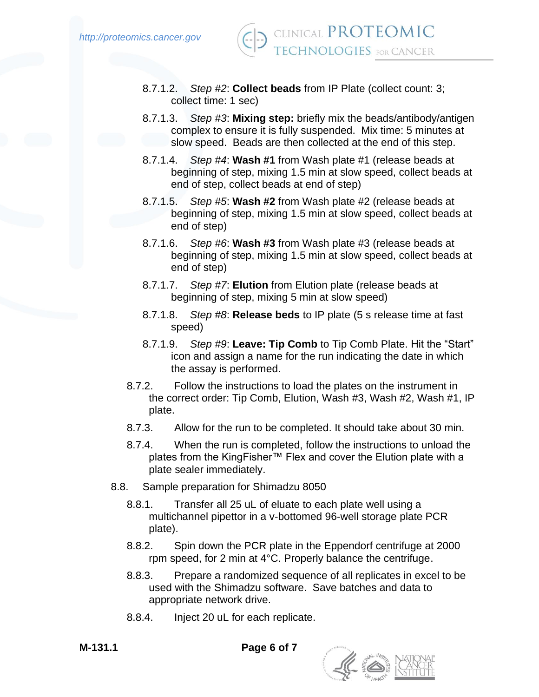- 8.7.1.2. *Step #2*: **Collect beads** from IP Plate (collect count: 3; collect time: 1 sec)
- 8.7.1.3. *Step #3*: **Mixing step:** briefly mix the beads/antibody/antigen complex to ensure it is fully suspended. Mix time: 5 minutes at slow speed. Beads are then collected at the end of this step.
- 8.7.1.4. *Step #4*: **Wash #1** from Wash plate #1 (release beads at beginning of step, mixing 1.5 min at slow speed, collect beads at end of step, collect beads at end of step)
- 8.7.1.5. *Step #5*: **Wash #2** from Wash plate #2 (release beads at beginning of step, mixing 1.5 min at slow speed, collect beads at end of step)
- 8.7.1.6. *Step #6*: **Wash #3** from Wash plate #3 (release beads at beginning of step, mixing 1.5 min at slow speed, collect beads at end of step)
- 8.7.1.7. *Step #7*: **Elution** from Elution plate (release beads at beginning of step, mixing 5 min at slow speed)
- 8.7.1.8. *Step #8*: **Release beds** to IP plate (5 s release time at fast speed)
- 8.7.1.9. *Step #9*: **Leave: Tip Comb** to Tip Comb Plate. Hit the "Start" icon and assign a name for the run indicating the date in which the assay is performed.
- 8.7.2. Follow the instructions to load the plates on the instrument in the correct order: Tip Comb, Elution, Wash #3, Wash #2, Wash #1, IP plate.
- 8.7.3. Allow for the run to be completed. It should take about 30 min.
- 8.7.4. When the run is completed, follow the instructions to unload the plates from the KingFisher™ Flex and cover the Elution plate with a plate sealer immediately.
- 8.8. Sample preparation for Shimadzu 8050
	- 8.8.1. Transfer all 25 uL of eluate to each plate well using a multichannel pipettor in a v-bottomed 96-well storage plate PCR plate).
	- 8.8.2. Spin down the PCR plate in the Eppendorf centrifuge at 2000 rpm speed, for 2 min at 4°C. Properly balance the centrifuge.
	- 8.8.3. Prepare a randomized sequence of all replicates in excel to be used with the Shimadzu software. Save batches and data to appropriate network drive.
	- 8.8.4. Inject 20 uL for each replicate.